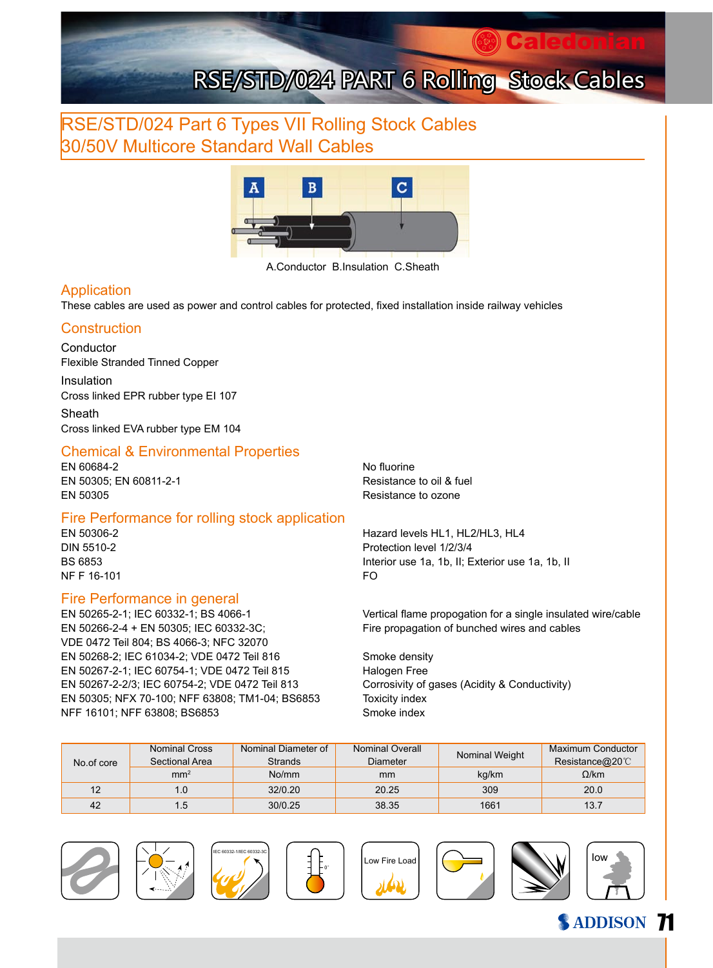## RSE/STD/024 Part 6 Types VII Rolling Stock Cables 30/50V Multicore Standard Wall Cables



A.Conductor B.Insulation C.Sheath

#### Application

These cables are used as power and control cables for protected, fixed installation inside railway vehicles

#### **Construction**

Conductor Flexible Stranded Tinned Copper

Insulation Cross linked EPR rubber type EI 107

Sheath Cross linked EVA rubber type EM 104

#### Chemical & Environmental Properties

EN 60684-2 No fluorine EN 50305: EN 60811-2-1 Resistance to oil & fuel EN 50305 Resistance to ozone

#### Fire Performance for rolling stock application

NF F 16-101 FO

#### Fire Performance in general

EN 50266-2-4 + EN 50305; IEC 60332-3C; Fire propagation of bunched wires and cables VDE 0472 Teil 804; BS 4066-3; NFC 32070 EN 50268-2; IEC 61034-2; VDE 0472 Teil 816 Smoke density EN 50267-2-1; IEC 60754-1; VDE 0472 Teil 815 Halogen Free EN 50267-2-2/3; IEC 60754-2; VDE 0472 Teil 813 Corrosivity of gases (Acidity & Conductivity) EN 50305; NFX 70-100; NFF 63808; TM1-04; BS6853 Toxicity index NFF 16101; NFF 63808; BS6853 Smoke index

EN 50306-2 Hazard levels HL1, HL2/HL3, HL4 DIN 5510-2 Protection level 1/2/3/4 BS 6853 Interior use 1a, 1b, II; Exterior use 1a, 1b, II

EN 50265-2-1; IEC 60332-1; BS 4066-1 Vertical flame propogation for a single insulated wire/cable

| No.of core | <b>Nominal Cross</b><br>Sectional Area | Nominal Diameter of<br><b>Strands</b> | Nominal Overall<br>Diameter | Nominal Weight | <b>Maximum Conductor</b><br>Resistance@20 $\degree$ C |
|------------|----------------------------------------|---------------------------------------|-----------------------------|----------------|-------------------------------------------------------|
|            | mm <sup>2</sup>                        | No/mm                                 | mm                          | kg/km          | $\Omega$ /km                                          |
| 12         |                                        | 32/0.20                               | 20.25                       | 309            | 20.0                                                  |
| 42         | $5^{\circ}$                            | 30/0.25                               | 38.35                       | 1661           | 13.7                                                  |

0°















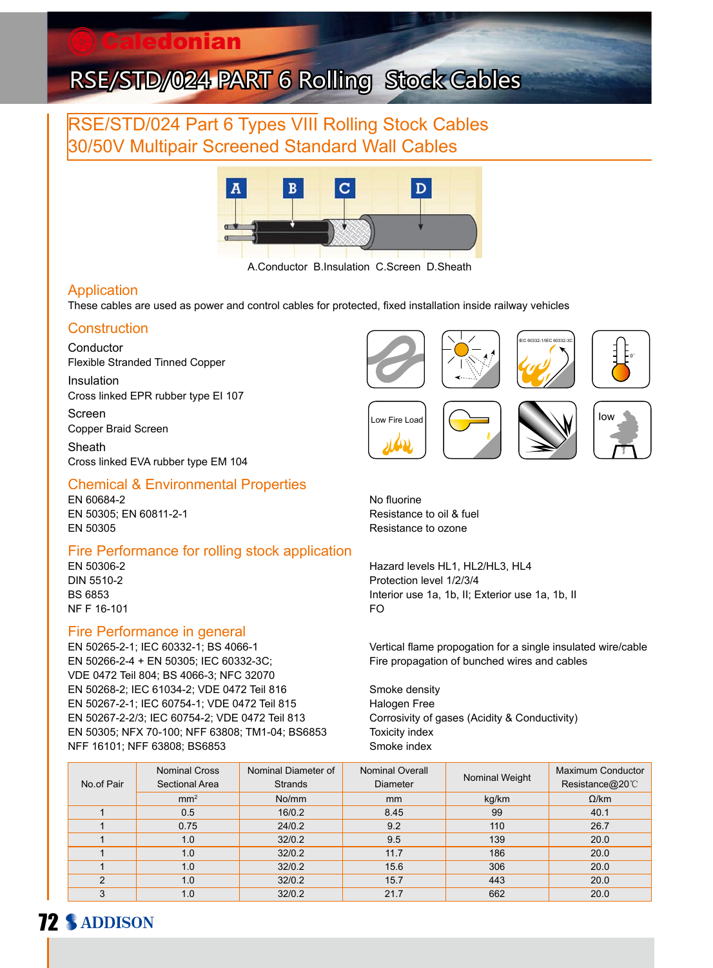## RSE/STD/024 Part 6 Types VIII Rolling Stock Cables 30/50V Multipair Screened Standard Wall Cables



A.Conductor B.Insulation C.Screen D.Sheath

#### Application

These cables are used as power and control cables for protected, fixed installation inside railway vehicles

#### **Construction**

Conductor Flexible Stranded Tinned Copper

Insulation Cross linked EPR rubber type EI 107

Screen Copper Braid Screen Sheath

Cross linked EVA rubber type EM 104

#### Chemical & Environmental Properties

EN 60684-2 No fluorine EN 50305; EN 60811-2-1 Resistance to oil & fuel EN 50305 Resistance to ozone

# Fire Performance for rolling stock application<br>EN 50306-2

NF F 16-101 FO

#### Fire Performance in general

EN 50266-2-4 + EN 50305; IEC 60332-3C; Fire propagation of bunched wires and cables VDE 0472 Teil 804; BS 4066-3; NFC 32070 EN 50268-2; IEC 61034-2; VDE 0472 Teil 816 Smoke density EN 50267-2-1; IEC 60754-1; VDE 0472 Teil 815 Halogen Free EN 50267-2-2/3; IEC 60754-2; VDE 0472 Teil 813 Corrosivity of gases (Acidity & Conductivity) EN 50305; NFX 70-100; NFF 63808; TM1-04; BS6853 Toxicity index NFF 16101; NFF 63808; BS6853 Smoke index



Hazard levels HL1, HL2/HL3, HL4 DIN 5510-2 Protection level 1/2/3/4 BS 6853 Interior use 1a, 1b, II; Exterior use 1a, 1b, II

EN 50265-2-1; IEC 60332-1; BS 4066-1 Vertical flame propogation for a single insulated wire/cable

| No.of Pair | <b>Nominal Cross</b><br>Sectional Area | Nominal Diameter of<br><b>Strands</b> | Nominal Overall<br><b>Diameter</b> | Nominal Weight | Maximum Conductor<br>Resistance@20°C |
|------------|----------------------------------------|---------------------------------------|------------------------------------|----------------|--------------------------------------|
|            | mm <sup>2</sup>                        | No/mm                                 | <sub>mm</sub>                      | kg/km          | $\Omega$ /km                         |
|            | 0.5                                    | 16/0.2                                | 8.45                               | 99             | 40.1                                 |
|            | 0.75                                   | 24/0.2                                | 9.2                                | 110            | 26.7                                 |
|            | 1.0                                    | 32/0.2                                | 9.5                                | 139            | 20.0                                 |
|            | 1.0                                    | 32/0.2                                | 11.7                               | 186            | 20.0                                 |
|            | 1.0                                    | 32/0.2                                | 15.6                               | 306            | 20.0                                 |
| 2          | 1.0                                    | 32/0.2                                | 15.7                               | 443            | 20.0                                 |
| 3          | 1.0                                    | 32/0.2                                | 21.7                               | 662            | 20.0                                 |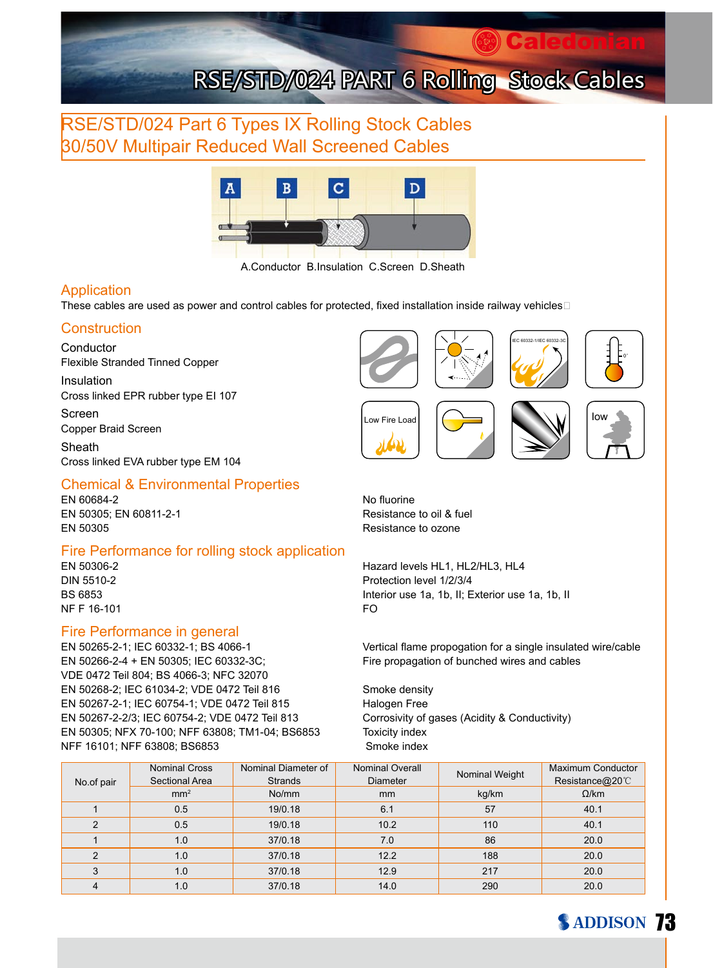### RSE/STD/024 Part 6 Types IX Rolling Stock Cables 30/50V Multipair Reduced Wall Screened Cables



A.Conductor B.Insulation C.Screen D.Sheath

#### Application

These cables are used as power and control cables for protected, fixed installation inside railway vehicles

#### **Construction**

**Conductor** Flexible Stranded Tinned Copper

Insulation Cross linked EPR rubber type EI 107

Screen Copper Braid Screen Sheath

Cross linked EVA rubber type EM 104

#### Chemical & Environmental Properties

EN 60684-2 No fluorine EN 50305; EN 60811-2-1 Resistance to oil & fuel EN 50305 Resistance to ozone

## Fire Performance for rolling stock application<br>EN 50306-2

NF F 16-101 FO

#### Fire Performance in general

EN 50265-2-1; IEC 60332-1; BS 4066-1 Vertical flame propogation for a single insulated wire/cable EN 50266-2-4 + EN 50305; IEC 60332-3C; Fire propagation of bunched wires and cables VDE 0472 Teil 804; BS 4066-3; NFC 32070 EN 50268-2; IEC 61034-2; VDE 0472 Teil 816 Smoke density EN 50267-2-1; IEC 60754-1; VDE 0472 Teil 815 Halogen Free EN 50267-2-2/3; IEC 60754-2; VDE 0472 Teil 813 Corrosivity of gases (Acidity & Conductivity) EN 50305; NFX 70-100; NFF 63808; TM1-04; BS6853 Toxicity index NFF 16101; NFF 63808; BS6853 Smoke index





**Caledonian** 









Hazard levels HL1, HL2/HL3, HL4 DIN 5510-2 Protection level 1/2/3/4 BS 6853 Interior use 1a, 1b, II; Exterior use 1a, 1b, II

|                | <b>Nominal Cross</b> | Nominal Diameter of | Nominal Overall | Nominal Weight | Maximum Conductor |
|----------------|----------------------|---------------------|-----------------|----------------|-------------------|
| No.of pair     | Sectional Area       | <b>Strands</b>      | <b>Diameter</b> |                | Resistance@20°C   |
|                | mm <sup>2</sup>      | No/mm               | <sub>mm</sub>   | kg/km          | $\Omega$ /km      |
|                | 0.5                  | 19/0.18             | 6.1             | 57             | 40.1              |
| $\overline{2}$ | 0.5                  | 19/0.18             | 10.2            | 110            | 40.1              |
|                | 1.0                  | 37/0.18             | 7.0             | 86             | 20.0              |
| $\overline{2}$ | 1.0                  | 37/0.18             | 12.2            | 188            | 20.0              |
| 3              | 1.0                  | 37/0.18             | 12.9            | 217            | 20.0              |
|                | 1.0                  | 37/0.18             | 14.0            | 290            | 20.0              |

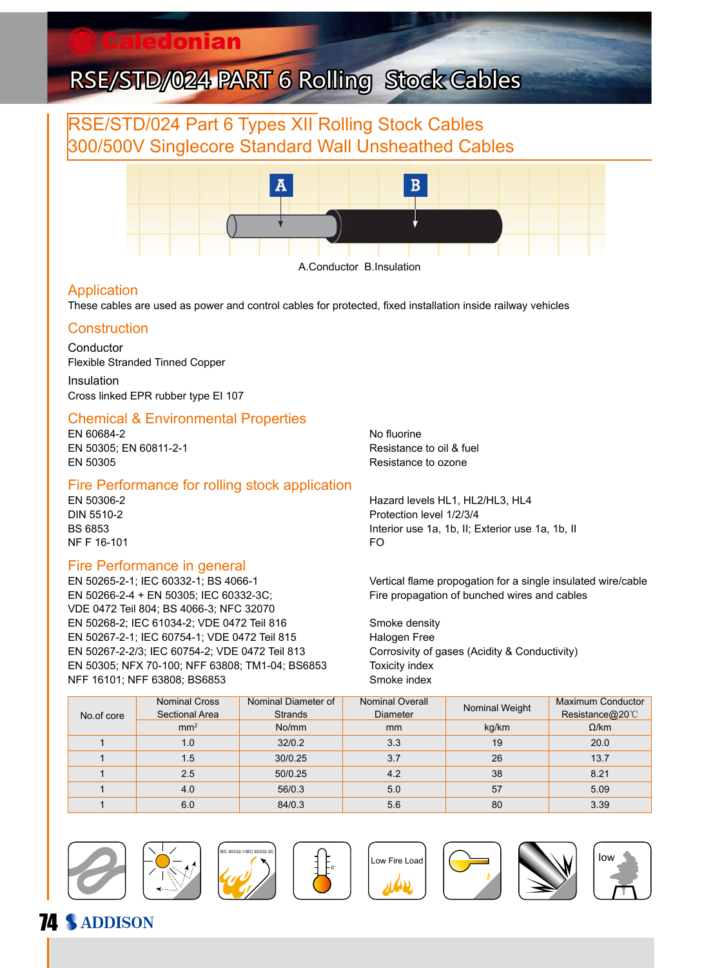### aledonian

# RSE/STD/024 PART 6 Rolling Stock Cables

## RSE/STD/024 Part 6 Types XII Rolling Stock Cables 300/500V Singlecore Standard Wall Unsheathed Cables



A.Conductor B.Insulation

#### Application

These cables are used as power and control cables for protected, fixed installation inside railway vehicles

#### **Construction**

Conductor Flexible Stranded Tinned Copper Insulation

Cross linked EPR rubber type EI 107

#### Chemical & Environmental Properties

EN 60684-2 No fluorine EN 50305; EN 60811-2-1 **Resistance to oil & fuel** EN 50305 Resistance to ozone

#### Fire Performance for rolling stock application

NF F 16-101 FO

#### Fire Performance in general

EN 50266-2-4 + EN 50305; IEC 60332-3C; Fire propagation of bunched wires and cables VDE 0472 Teil 804; BS 4066-3; NFC 32070 EN 50268-2; IEC 61034-2; VDE 0472 Teil 816 Smoke density EN 50267-2-1; IEC 60754-1; VDE 0472 Teil 815 Halogen Free EN 50267-2-2/3; IEC 60754-2; VDE 0472 Teil 813 Corrosivity of gases (Acidity & Conductivity) EN 50305; NFX 70-100; NFF 63808; TM1-04; BS6853 Toxicity index NFF 16101; NFF 63808; BS6853 Smoke index

EN 50306-2 Hazard levels HL1, HL2/HL3, HL4 DIN 5510-2 Protection level 1/2/3/4 BS 6853 **Interior use 1a, 1b, II**; Exterior use 1a, 1b, II; Exterior use 1a, 1b, II

EN 50265-2-1; IEC 60332-1; BS 4066-1 Vertical flame propogation for a single insulated wire/cable

|            | <b>Nominal Cross</b><br>Sectional Area | Nominal Diameter of<br><b>Strands</b> | <b>Nominal Overall</b><br><b>Diameter</b> | Nominal Weight | <b>Maximum Conductor</b><br>Resistance@20°C |
|------------|----------------------------------------|---------------------------------------|-------------------------------------------|----------------|---------------------------------------------|
| No.of core |                                        |                                       |                                           |                |                                             |
|            | mm <sup>2</sup>                        | No/mm                                 | <sub>mm</sub>                             | kg/km          | $\Omega$ /km                                |
|            | 1.0                                    | 32/0.2                                | 3.3                                       | 19             | 20.0                                        |
|            | 1.5                                    | 30/0.25                               | 3.7                                       | 26             | 13.7                                        |
|            | 2.5                                    | 50/0.25                               | 4.2                                       | 38             | 8.21                                        |
|            | 4.0                                    | 56/0.3                                | 5.0                                       | 57             | 5.09                                        |
|            | 6.0                                    | 84/0.3                                | 5.6                                       | 80             | 3.39                                        |



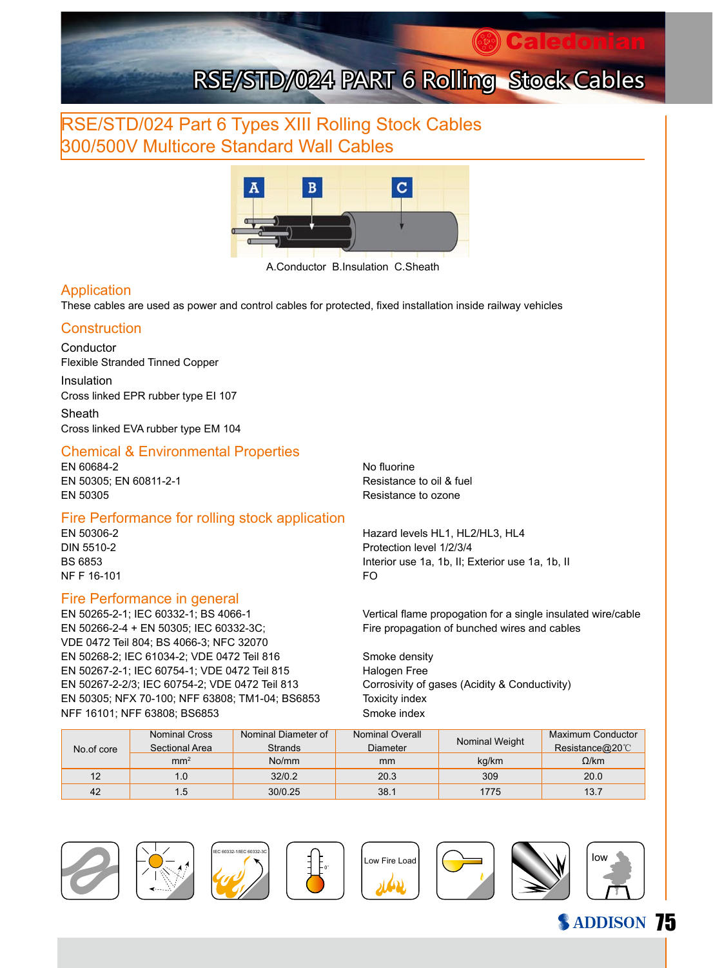## RSE/STD/024 Part 6 Types XIII Rolling Stock Cables 300/500V Multicore Standard Wall Cables



A.Conductor B.Insulation C.Sheath

#### Application

These cables are used as power and control cables for protected, fixed installation inside railway vehicles

#### **Construction**

Conductor Flexible Stranded Tinned Copper

Insulation Cross linked EPR rubber type EI 107

Sheath Cross linked EVA rubber type EM 104

#### Chemical & Environmental Properties

EN 60684-2 No fluorine EN 50305: EN 60811-2-1 Resistance to oil & fuel EN 50305 Resistance to ozone

#### Fire Performance for rolling stock application

NF F 16-101 FO

#### Fire Performance in general

EN 50266-2-4 + EN 50305; IEC 60332-3C; Fire propagation of bunched wires and cables VDE 0472 Teil 804; BS 4066-3; NFC 32070 EN 50268-2; IEC 61034-2; VDE 0472 Teil 816 Smoke density EN 50267-2-1; IEC 60754-1; VDE 0472 Teil 815 Halogen Free EN 50267-2-2/3; IEC 60754-2; VDE 0472 Teil 813 Corrosivity of gases (Acidity & Conductivity) EN 50305; NFX 70-100; NFF 63808; TM1-04; BS6853 Toxicity index NFF 16101; NFF 63808; BS6853 Smoke index

EN 50306-2 Hazard levels HL1, HL2/HL3, HL4 DIN 5510-2 Protection level 1/2/3/4 BS 6853 Interior use 1a, 1b, II; Exterior use 1a, 1b, II

EN 50265-2-1; IEC 60332-1; BS 4066-1 Vertical flame propogation for a single insulated wire/cable

| No.of core | <b>Nominal Cross</b> | Nominal Diameter of | Nominal Overall |                | Maximum Conductor |
|------------|----------------------|---------------------|-----------------|----------------|-------------------|
|            | Sectional Area       | <b>Strands</b>      | Diameter        | Nominal Weight | Resistance@20°C   |
|            | mm <sup>2</sup>      | No/mm               | mm              | kg/km          | $\Omega$ /km      |
| 12         | 1.0                  | 32/0.2              | 20.3            | 309            | 20.0              |
| 42         | l.5                  | 30/0.25             | 38.1            | 1775           | 13.7              |

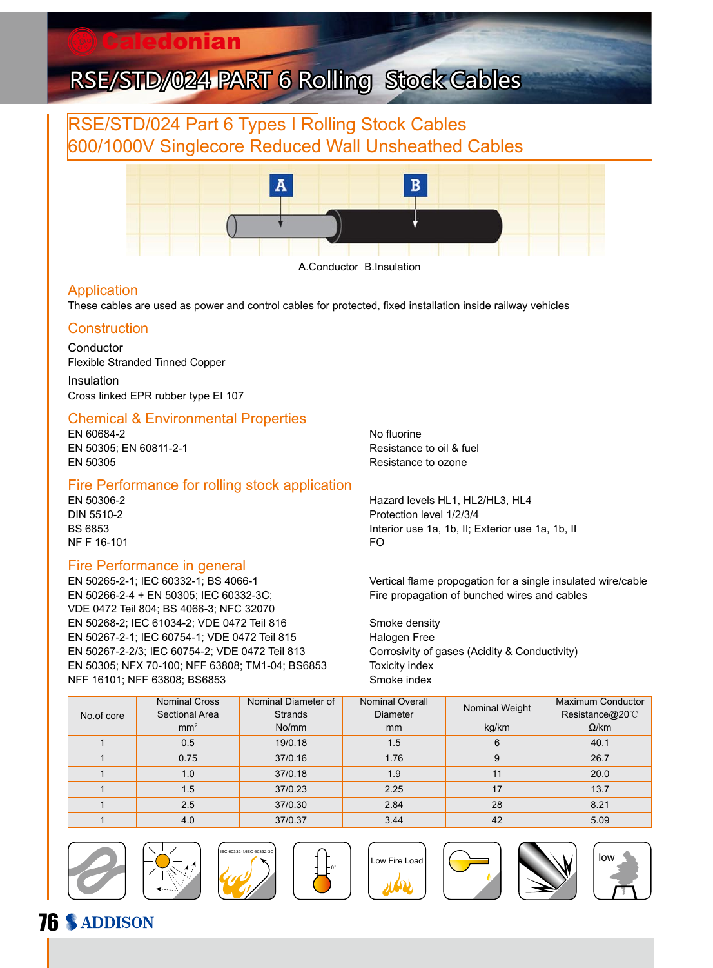### aledonian

# RSE/STD/024 PART 6 Rolling Stock Cables

## RSE/STD/024 Part 6 Types I Rolling Stock Cables 600/1000V Singlecore Reduced Wall Unsheathed Cables



A.Conductor B.Insulation

#### Application

These cables are used as power and control cables for protected, fixed installation inside railway vehicles

#### **Construction**

Conductor Flexible Stranded Tinned Copper Insulation

Cross linked EPR rubber type EI 107

#### Chemical & Environmental Properties

EN 60684-2 No fluorine EN 50305; EN 60811-2-1 **Resistance to oil & fuel** EN 50305 Resistance to ozone

#### Fire Performance for rolling stock application

NF F 16-101 FO

#### Fire Performance in general

EN 50266-2-4 + EN 50305; IEC 60332-3C; Fire propagation of bunched wires and cables VDE 0472 Teil 804; BS 4066-3; NFC 32070 EN 50268-2; IEC 61034-2; VDE 0472 Teil 816 Smoke density EN 50267-2-1; IEC 60754-1; VDE 0472 Teil 815 Halogen Free EN 50267-2-2/3; IEC 60754-2; VDE 0472 Teil 813 Corrosivity of gases (Acidity & Conductivity) EN 50305; NFX 70-100; NFF 63808; TM1-04; BS6853 Toxicity index NFF 16101; NFF 63808; BS6853 Smoke index

EN 50306-2 Hazard levels HL1, HL2/HL3, HL4 DIN 5510-2 Protection level 1/2/3/4 BS 6853 **Interior use 1a, 1b, II**; Exterior use 1a, 1b, II; Exterior use 1a, 1b, II

EN 50265-2-1; IEC 60332-1; BS 4066-1 Vertical flame propogation for a single insulated wire/cable

| No.of core | <b>Nominal Cross</b><br>Sectional Area | Nominal Diameter of<br><b>Strands</b> | <b>Nominal Overall</b><br><b>Diameter</b> | Nominal Weight | Maximum Conductor<br>Resistance@20°C |
|------------|----------------------------------------|---------------------------------------|-------------------------------------------|----------------|--------------------------------------|
|            | mm <sup>2</sup>                        | No/mm                                 | <sub>mm</sub>                             | kg/km          | $\Omega$ /km                         |
|            | 0.5                                    | 19/0.18                               | 1.5                                       | 6              | 40.1                                 |
|            | 0.75                                   | 37/0.16                               | 1.76                                      | 9              | 26.7                                 |
|            | 1.0                                    | 37/0.18                               | 1.9                                       | 11             | 20.0                                 |
|            | 1.5                                    | 37/0.23                               | 2.25                                      | 17             | 13.7                                 |
|            | 2.5                                    | 37/0.30                               | 2.84                                      | 28             | 8.21                                 |
|            | 4.0                                    | 37/0.37                               | 3.44                                      | 42             | 5.09                                 |













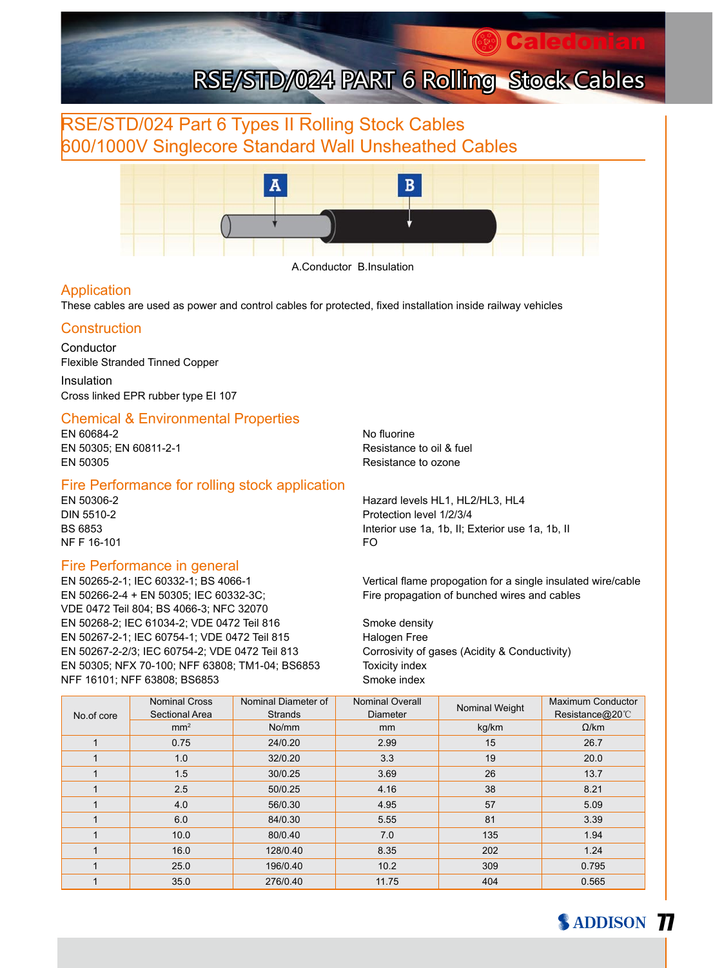# **Caledonian** RSE/STD/024 PART 6 Rolling Stock Cables

## RSE/STD/024 Part 6 Types II Rolling Stock Cables 600/1000V Singlecore Standard Wall Unsheathed Cables



A.Conductor B.Insulation

#### Application

These cables are used as power and control cables for protected, fixed installation inside railway vehicles

#### **Construction**

Conductor Flexible Stranded Tinned Copper

Insulation Cross linked EPR rubber type EI 107

#### Chemical & Environmental Properties

EN 60684-2 No fluorine EN 50305; EN 60811-2-1 **Resistance to oil & fuel** EN 50305 Resistance to ozone

#### Fire Performance for rolling stock application

NF F 16-101 FO

#### Fire Performance in general

EN 50266-2-4 + EN 50305; IEC 60332-3C; Fire propagation of bunched wires and cables VDE 0472 Teil 804; BS 4066-3; NFC 32070 EN 50268-2; IEC 61034-2; VDE 0472 Teil 816 Smoke density EN 50267-2-1; IEC 60754-1; VDE 0472 Teil 815 Halogen Free EN 50267-2-2/3; IEC 60754-2; VDE 0472 Teil 813 Corrosivity of gases (Acidity & Conductivity) EN 50305; NFX 70-100; NFF 63808; TM1-04; BS6853 Toxicity index NFF 16101; NFF 63808; BS6853 Smoke index

EN 50306-2 Hazard levels HL1, HL2/HL3, HL4 DIN 5510-2 Protection level 1/2/3/4 BS 6853 **Interior use 1a, 1b, II; Exterior use 1a, 1b**, II, Exterior use 1a, 1b, II

EN 50265-2-1; IEC 60332-1; BS 4066-1 Vertical flame propogation for a single insulated wire/cable

|            | <b>Nominal Cross</b> | Nominal Diameter of | Nominal Overall | Nominal Weight | Maximum Conductor |
|------------|----------------------|---------------------|-----------------|----------------|-------------------|
| No.of core | Sectional Area       | <b>Strands</b>      | <b>Diameter</b> |                | Resistance@20°C   |
|            | mm <sup>2</sup>      | No/mm               | <sub>mm</sub>   | kg/km          | $\Omega$ /km      |
|            | 0.75                 | 24/0.20             | 2.99            | 15             | 26.7              |
|            | 1.0                  | 32/0.20             | 3.3             | 19             | 20.0              |
|            | 1.5                  | 30/0.25             | 3.69            | 26             | 13.7              |
|            | 2.5                  | 50/0.25             | 4.16            | 38             | 8.21              |
|            | 4.0                  | 56/0.30             | 4.95            | 57             | 5.09              |
|            | 6.0                  | 84/0.30             | 5.55            | 81             | 3.39              |
|            | 10.0                 | 80/0.40             | 7.0             | 135            | 1.94              |
|            | 16.0                 | 128/0.40            | 8.35            | 202            | 1.24              |
|            | 25.0                 | 196/0.40            | 10.2            | 309            | 0.795             |
|            | 35.0                 | 276/0.40            | 11.75           | 404            | 0.565             |

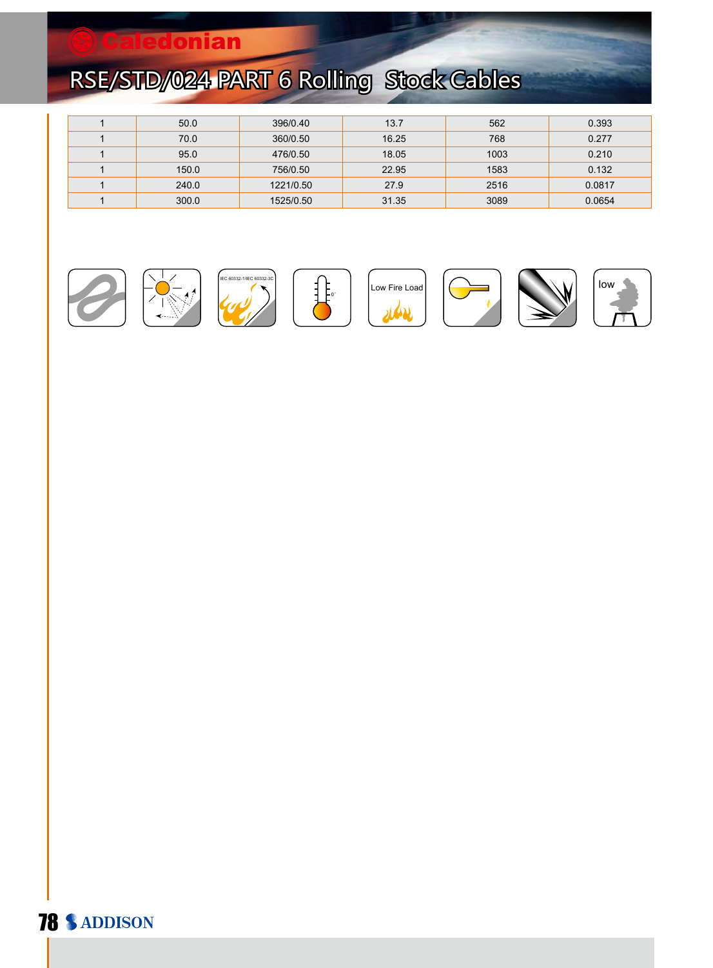## **Caledonian**

# RSE/STD/024 PART 6 Rolling Stock Cables

| 50.0  | 396/0.40  | 13.7  | 562  | 0.393  |
|-------|-----------|-------|------|--------|
| 70.0  | 360/0.50  | 16.25 | 768  | 0.277  |
| 95.0  | 476/0.50  | 18.05 | 1003 | 0.210  |
| 150.0 | 756/0.50  | 22.95 | 1583 | 0.132  |
| 240.0 | 1221/0.50 | 27.9  | 2516 | 0.0817 |
| 300.0 | 1525/0.50 | 31.35 | 3089 | 0.0654 |

















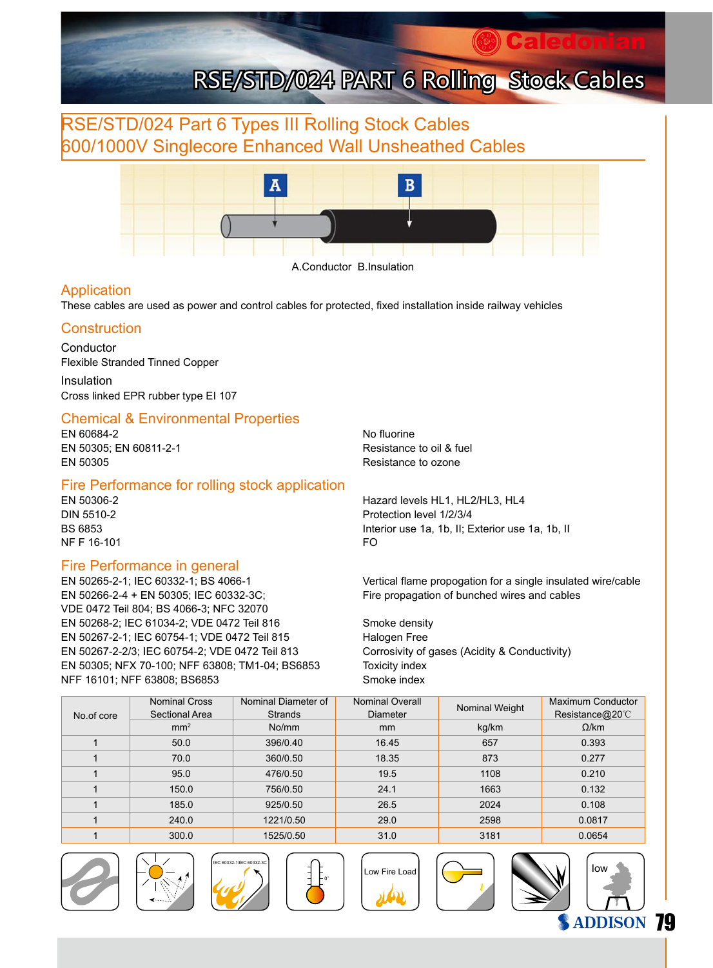# **Caledonian** RSE/STD/024 PART 6 Rolling Stock Cables

## RSE/STD/024 Part 6 Types III Rolling Stock Cables 600/1000V Singlecore Enhanced Wall Unsheathed Cables



A.Conductor B.Insulation

#### Application

These cables are used as power and control cables for protected, fixed installation inside railway vehicles

#### **Construction**

Conductor Flexible Stranded Tinned Copper

Insulation Cross linked EPR rubber type EI 107

#### Chemical & Environmental Properties

EN 60684-2 No fluorine EN 50305; EN 60811-2-1 **Resistance to oil & fuel** EN 50305 Resistance to ozone

#### Fire Performance for rolling stock application

NF F 16-101 FO

#### Fire Performance in general

EN 50266-2-4 + EN 50305; IEC 60332-3C; Fire propagation of bunched wires and cables VDE 0472 Teil 804; BS 4066-3; NFC 32070 EN 50268-2; IEC 61034-2; VDE 0472 Teil 816 Smoke density EN 50267-2-1; IEC 60754-1; VDE 0472 Teil 815 Halogen Free EN 50267-2-2/3; IEC 60754-2; VDE 0472 Teil 813 Corrosivity of gases (Acidity & Conductivity) EN 50305; NFX 70-100; NFF 63808; TM1-04; BS6853 Toxicity index NFF 16101; NFF 63808; BS6853 Smoke index

EN 50306-2 Hazard levels HL1, HL2/HL3, HL4 DIN 5510-2 Protection level 1/2/3/4 BS 6853 **Interior use 1a, 1b, II; Exterior use 1a, 1b**, II, Exterior use 1a, 1b, II

EN 50265-2-1; IEC 60332-1; BS 4066-1 Vertical flame propogation for a single insulated wire/cable

| No.of core | <b>Nominal Cross</b><br>Sectional Area | Nominal Diameter of<br><b>Strands</b> | <b>Nominal Overall</b><br>Diameter | Nominal Weight | Maximum Conductor<br>Resistance@20°C |
|------------|----------------------------------------|---------------------------------------|------------------------------------|----------------|--------------------------------------|
|            | mm <sup>2</sup>                        | No/mm                                 | <sub>mm</sub>                      | kg/km          | $\Omega$ /km                         |
|            | 50.0                                   | 396/0.40                              | 16.45                              | 657            | 0.393                                |
|            | 70.0                                   | 360/0.50                              | 18.35                              | 873            | 0.277                                |
|            | 95.0                                   | 476/0.50                              | 19.5                               | 1108           | 0.210                                |
|            | 150.0                                  | 756/0.50                              | 24.1                               | 1663           | 0.132                                |
|            | 185.0                                  | 925/0.50                              | 26.5                               | 2024           | 0.108                                |
|            | 240.0                                  | 1221/0.50                             | 29.0                               | 2598           | 0.0817                               |
|            | 300.0                                  | 1525/0.50                             | 31.0                               | 3181           | 0.0654                               |

0°















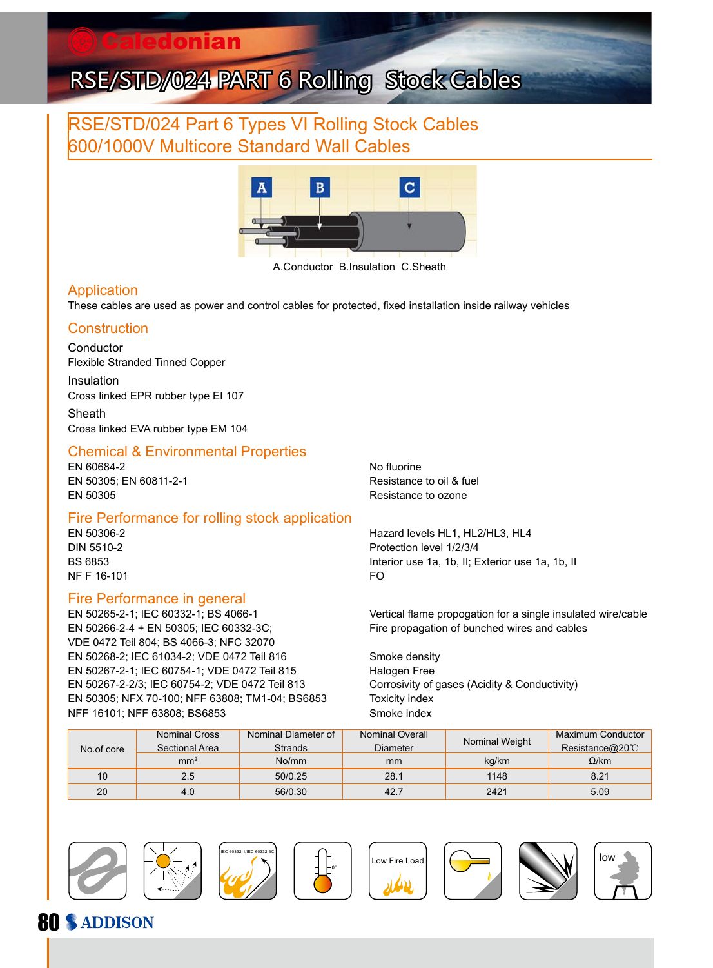## RSE/STD/024 Part 6 Types VI Rolling Stock Cables 600/1000V Multicore Standard Wall Cables



A.Conductor B.Insulation C.Sheath

#### Application

These cables are used as power and control cables for protected, fixed installation inside railway vehicles

#### **Construction**

Conductor Flexible Stranded Tinned Copper

Insulation Cross linked EPR rubber type EI 107

Sheath Cross linked EVA rubber type EM 104

#### Chemical & Environmental Properties

EN 60684-2 No fluorine EN 50305: EN 60811-2-1 Resistance to oil & fuel EN 50305 Resistance to ozone

#### Fire Performance for rolling stock application

NF F 16-101 FO

#### Fire Performance in general

EN 50266-2-4 + EN 50305; IEC 60332-3C; Fire propagation of bunched wires and cables VDE 0472 Teil 804; BS 4066-3; NFC 32070 EN 50268-2; IEC 61034-2; VDE 0472 Teil 816 Smoke density EN 50267-2-1; IEC 60754-1; VDE 0472 Teil 815 Halogen Free EN 50267-2-2/3; IEC 60754-2; VDE 0472 Teil 813 Corrosivity of gases (Acidity & Conductivity) EN 50305; NFX 70-100; NFF 63808; TM1-04; BS6853 Toxicity index NFF 16101; NFF 63808; BS6853 Smoke index

EN 50306-2 Hazard levels HL1, HL2/HL3, HL4 DIN 5510-2 Protection level 1/2/3/4 BS 6853 Interior use 1a, 1b, II; Exterior use 1a, 1b, II

EN 50265-2-1; IEC 60332-1; BS 4066-1 Vertical flame propogation for a single insulated wire/cable

| No.of core | <b>Nominal Cross</b><br>Sectional Area | Nominal Diameter of<br>Strands | <b>Nominal Overall</b><br>Diameter | Nominal Weight | Maximum Conductor<br>Resistance@20 $\degree$ C |
|------------|----------------------------------------|--------------------------------|------------------------------------|----------------|------------------------------------------------|
|            | mm <sup>2</sup>                        | No/mm                          | mm                                 | kg/km          | $\Omega$ /km                                   |
| 10         | 2.5                                    | 50/0.25                        | 28.1                               | 1148           | 8.21                                           |
| 20         | 4.0                                    | 56/0.30                        | 42.7                               | 2421           | 5.09                                           |